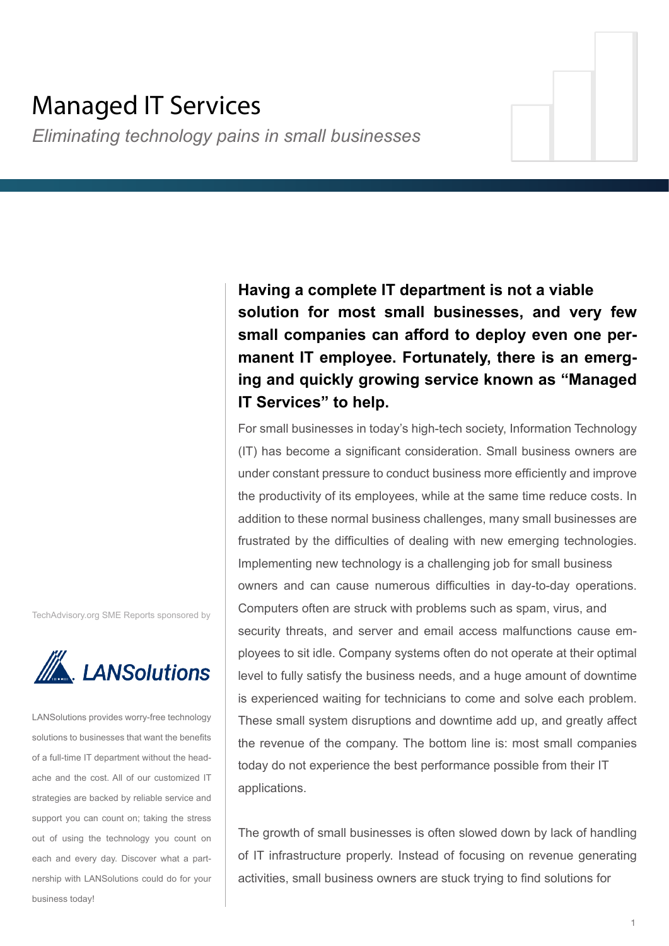# Managed IT Services

*Eliminating technology pains in small businesses*

**Having a complete IT department is not a viable solution for most small businesses, and very few small companies can afford to deploy even one permanent IT employee. Fortunately, there is an emerging and quickly growing service known as "Managed IT Services" to help.**

For small businesses in today's high-tech society, Information Technology (IT) has become a significant consideration. Small business owners are under constant pressure to conduct business more efficiently and improve the productivity of its employees, while at the same time reduce costs. In addition to these normal business challenges, many small businesses are frustrated by the difficulties of dealing with new emerging technologies. Implementing new technology is a challenging job for small business owners and can cause numerous difficulties in day-to-day operations. Computers often are struck with problems such as spam, virus, and security threats, and server and email access malfunctions cause employees to sit idle. Company systems often do not operate at their optimal level to fully satisfy the business needs, and a huge amount of downtime is experienced waiting for technicians to come and solve each problem. These small system disruptions and downtime add up, and greatly affect the revenue of the company. The bottom line is: most small companies today do not experience the best performance possible from their IT applications.

The growth of small businesses is often slowed down by lack of handling of IT infrastructure properly. Instead of focusing on revenue generating activities, small business owners are stuck trying to find solutions for

TechAdvisory.org SME Reports sponsored by



LANSolutions provides worry-free technology solutions to businesses that want the benefits of a full-time IT department without the headache and the cost. All of our customized IT strategies are backed by reliable service and support you can count on; taking the stress out of using the technology you count on each and every day. Discover what a partnership with LANSolutions could do for your business today!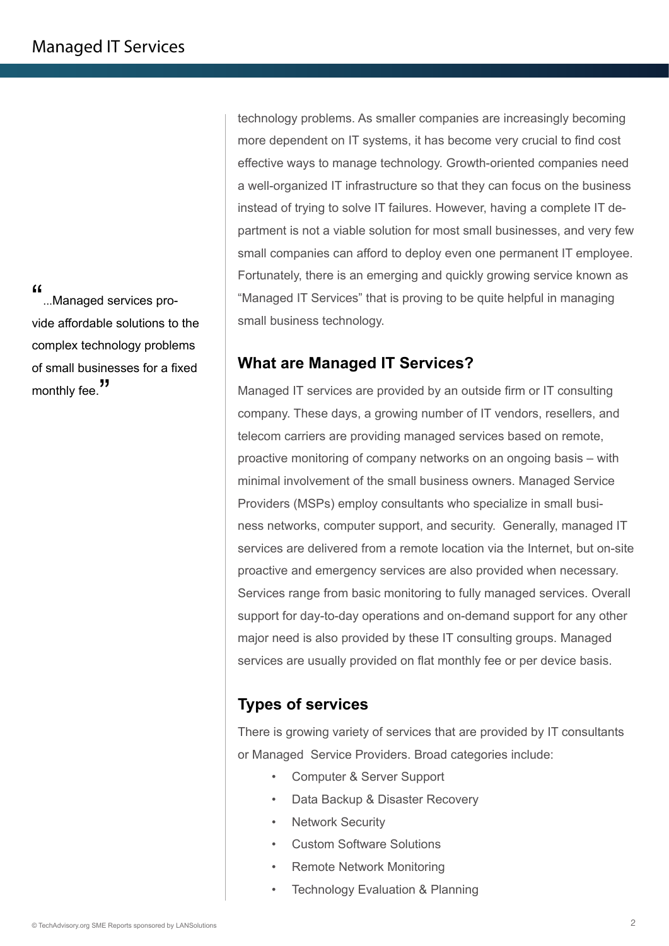"...Managed services provide affordable solutions to the complex technology problems of small businesses for a fixed monthly fee.<sup>"</sup>

technology problems. As smaller companies are increasingly becoming more dependent on IT systems, it has become very crucial to find cost effective ways to manage technology. Growth-oriented companies need a well-organized IT infrastructure so that they can focus on the business instead of trying to solve IT failures. However, having a complete IT department is not a viable solution for most small businesses, and very few small companies can afford to deploy even one permanent IT employee. Fortunately, there is an emerging and quickly growing service known as "Managed IT Services" that is proving to be quite helpful in managing small business technology.

## **What are Managed IT Services?**

Managed IT services are provided by an outside firm or IT consulting company. These days, a growing number of IT vendors, resellers, and telecom carriers are providing managed services based on remote, proactive monitoring of company networks on an ongoing basis – with minimal involvement of the small business owners. Managed Service Providers (MSPs) employ consultants who specialize in small business networks, computer support, and security. Generally, managed IT services are delivered from a remote location via the Internet, but on-site proactive and emergency services are also provided when necessary. Services range from basic monitoring to fully managed services. Overall support for day-to-day operations and on-demand support for any other major need is also provided by these IT consulting groups. Managed services are usually provided on flat monthly fee or per device basis.

# **Types of services**

There is growing variety of services that are provided by IT consultants or Managed Service Providers. Broad categories include:

- Computer & Server Support
- Data Backup & Disaster Recovery
- **Network Security**
- Custom Software Solutions
- Remote Network Monitoring
- **Technology Evaluation & Planning**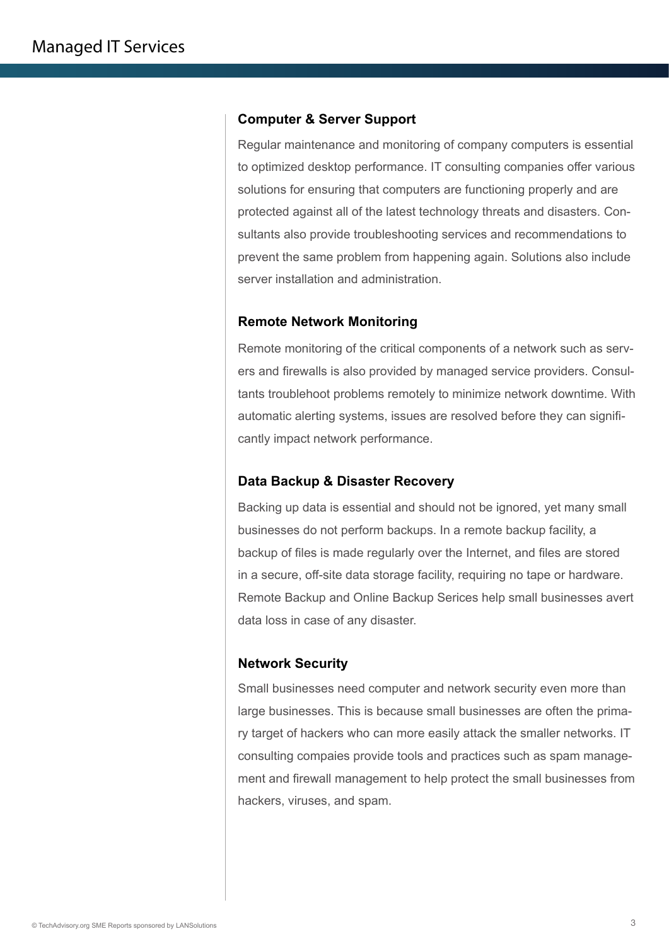#### **Computer & Server Support**

Regular maintenance and monitoring of company computers is essential to optimized desktop performance. IT consulting companies offer various solutions for ensuring that computers are functioning properly and are protected against all of the latest technology threats and disasters. Consultants also provide troubleshooting services and recommendations to prevent the same problem from happening again. Solutions also include server installation and administration.

#### **Remote Network Monitoring**

Remote monitoring of the critical components of a network such as servers and firewalls is also provided by managed service providers. Consultants troublehoot problems remotely to minimize network downtime. With automatic alerting systems, issues are resolved before they can significantly impact network performance.

#### **Data Backup & Disaster Recovery**

Backing up data is essential and should not be ignored, yet many small businesses do not perform backups. In a remote backup facility, a backup of files is made regularly over the Internet, and files are stored in a secure, off-site data storage facility, requiring no tape or hardware. Remote Backup and Online Backup Serices help small businesses avert data loss in case of any disaster.

#### **Network Security**

Small businesses need computer and network security even more than large businesses. This is because small businesses are often the primary target of hackers who can more easily attack the smaller networks. IT consulting compaies provide tools and practices such as spam management and firewall management to help protect the small businesses from hackers, viruses, and spam.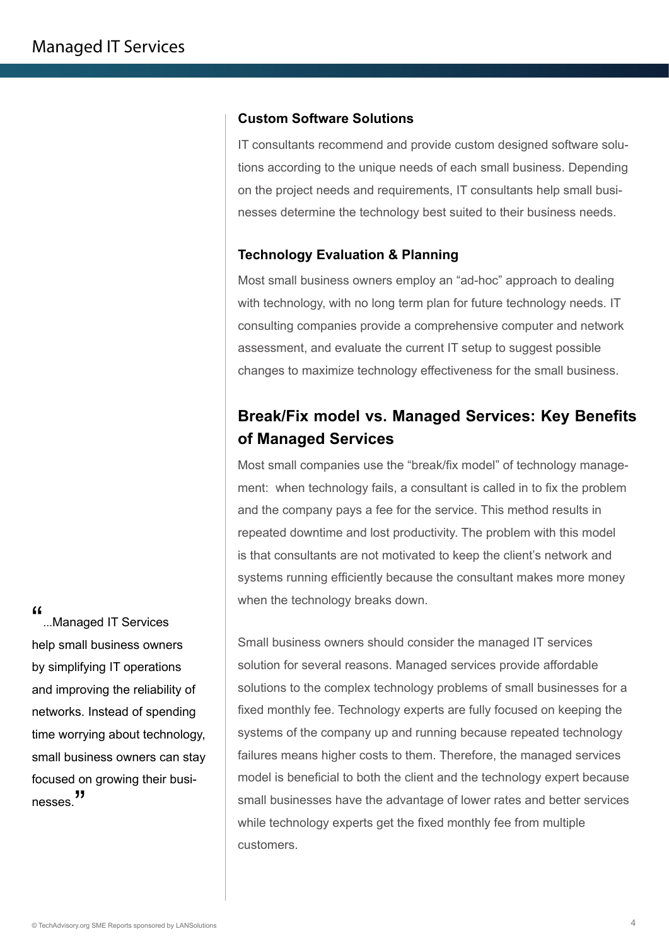#### **Custom Software Solutions**

IT consultants recommend and provide custom designed software solutions according to the unique needs of each small business. Depending on the project needs and requirements, IT consultants help small businesses determine the technology best suited to their business needs.

#### **Technology Evaluation & Planning**

Most small business owners employ an "ad-hoc" approach to dealing with technology, with no long term plan for future technology needs. IT consulting companies provide a comprehensive computer and network assessment, and evaluate the current IT setup to suggest possible changes to maximize technology effectiveness for the small business.

# **Break/Fix model vs. Managed Services: Key Benefits of Managed Services**

Most small companies use the "break/fix model" of technology management: when technology fails, a consultant is called in to fix the problem and the company pays a fee for the service. This method results in repeated downtime and lost productivity. The problem with this model is that consultants are not motivated to keep the client's network and systems running efficiently because the consultant makes more money when the technology breaks down.

Small business owners should consider the managed IT services solution for several reasons. Managed services provide affordable solutions to the complex technology problems of small businesses for a fixed monthly fee. Technology experts are fully focused on keeping the systems of the company up and running because repeated technology failures means higher costs to them. Therefore, the managed services model is beneficial to both the client and the technology expert because small businesses have the advantage of lower rates and better services while technology experts get the fixed monthly fee from multiple customers.

"...Managed IT Services help small business owners by simplifying IT operations and improving the reliability of networks. Instead of spending time worrying about technology, small business owners can stay focused on growing their businesses.<sup>"</sup>